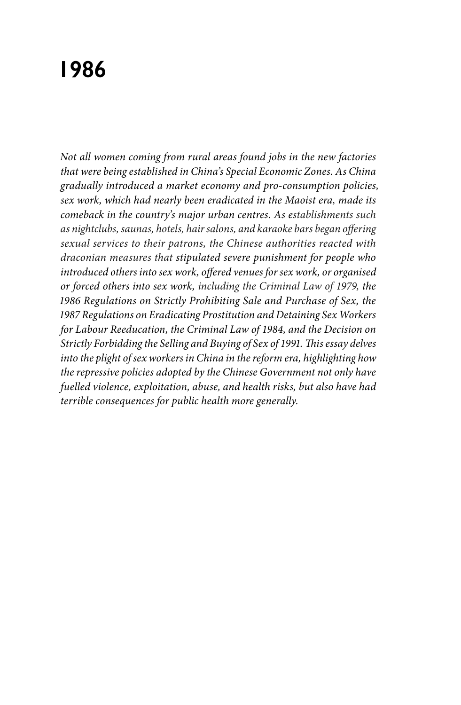# **1986**

*Not all women coming from rural areas found jobs in the new factories that were being established in China's Special Economic Zones. As China gradually introduced a market economy and pro-consumption policies, sex work, which had nearly been eradicated in the Maoist era, made its comeback in the country's major urban centres. As establishments such as nightclubs, saunas, hotels, hair salons, and karaoke bars began offering sexual services to their patrons, the Chinese authorities reacted with draconian measures that stipulated severe punishment for people who introduced others into sex work, offered venues for sex work, or organised or forced others into sex work, including the Criminal Law of 1979, the 1986 Regulations on Strictly Prohibiting Sale and Purchase of Sex, the 1987 Regulations on Eradicating Prostitution and Detaining Sex Workers for Labour Reeducation, the Criminal Law of 1984, and the Decision on Strictly Forbidding the Selling and Buying of Sex of 1991. This essay delves into the plight of sex workers in China in the reform era, highlighting how the repressive policies adopted by the Chinese Government not only have fuelled violence, exploitation, abuse, and health risks, but also have had terrible consequences for public health more generally.*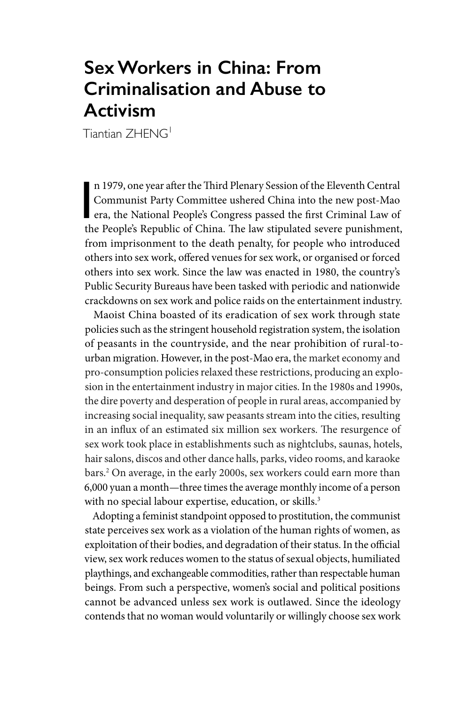# **Sex Workers in China: From Criminalisation and Abuse to Activism**

Tiantian **ZHENG** 

n 1979, one year after the Third Plenary Session of the Eleventh Central<br>Communist Party Committee ushered China into the new post-Mao<br>era, the National People's Congress passed the first Criminal Law of<br>the People's Peopl n 1979, one year after the Third Plenary Session of the Eleventh Central Communist Party Committee ushered China into the new post-Mao the People's Republic of China. The law stipulated severe punishment, from imprisonment to the death penalty, for people who introduced others into sex work, offered venues for sex work, or organised or forced others into sex work. Since the law was enacted in 1980, the country's Public Security Bureaus have been tasked with periodic and nationwide crackdowns on sex work and police raids on the entertainment industry.

Maoist China boasted of its eradication of sex work through state policies such as the stringent household registration system, the isolation of peasants in the countryside, and the near prohibition of rural-tourban migration. However, in the post-Mao era, the market economy and pro-consumption policies relaxed these restrictions, producing an explosion in the entertainment industry in major cities. In the 1980s and 1990s, the dire poverty and desperation of people in rural areas, accompanied by increasing social inequality, saw peasants stream into the cities, resulting in an influx of an estimated six million sex workers. The resurgence of sex work took place in establishments such as nightclubs, saunas, hotels, hair salons, discos and other dance halls, parks, video rooms, and karaoke bars.2 On average, in the early 2000s, sex workers could earn more than 6,000 yuan a month—three times the average monthly income of a person with no special labour expertise, education, or skills.<sup>3</sup>

Adopting a feminist standpoint opposed to prostitution, the communist state perceives sex work as a violation of the human rights of women, as exploitation of their bodies, and degradation of their status. In the official view, sex work reduces women to the status of sexual objects, humiliated playthings, and exchangeable commodities, rather than respectable human beings. From such a perspective, women's social and political positions cannot be advanced unless sex work is outlawed. Since the ideology contends that no woman would voluntarily or willingly choose sex work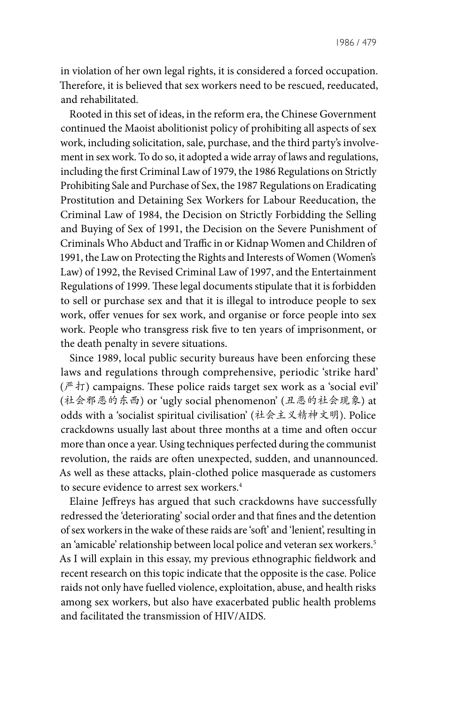in violation of her own legal rights, it is considered a forced occupation. Therefore, it is believed that sex workers need to be rescued, reeducated, and rehabilitated.

Rooted in this set of ideas, in the reform era, the Chinese Government continued the Maoist abolitionist policy of prohibiting all aspects of sex work, including solicitation, sale, purchase, and the third party's involvement in sex work. To do so, it adopted a wide array of laws and regulations, including the first Criminal Law of 1979, the 1986 Regulations on Strictly Prohibiting Sale and Purchase of Sex, the 1987 Regulations on Eradicating Prostitution and Detaining Sex Workers for Labour Reeducation, the Criminal Law of 1984, the Decision on Strictly Forbidding the Selling and Buying of Sex of 1991, the Decision on the Severe Punishment of Criminals Who Abduct and Traffic in or Kidnap Women and Children of 1991, the Law on Protecting the Rights and Interests of Women (Women's Law) of 1992, the Revised Criminal Law of 1997, and the Entertainment Regulations of 1999. These legal documents stipulate that it is forbidden to sell or purchase sex and that it is illegal to introduce people to sex work, offer venues for sex work, and organise or force people into sex work. People who transgress risk five to ten years of imprisonment, or the death penalty in severe situations.

Since 1989, local public security bureaus have been enforcing these laws and regulations through comprehensive, periodic 'strike hard'  $(\mathbb{F} \cdot \mathcal{F})$  campaigns. These police raids target sex work as a 'social evil' (社会邪恶的东西) or 'ugly social phenomenon' (丑恶的社会现象) at odds with a 'socialist spiritual civilisation' (社会主义精神文明). Police crackdowns usually last about three months at a time and often occur more than once a year. Using techniques perfected during the communist revolution, the raids are often unexpected, sudden, and unannounced. As well as these attacks, plain-clothed police masquerade as customers to secure evidence to arrest sex workers.4

Elaine Jeffreys has argued that such crackdowns have successfully redressed the 'deteriorating' social order and that fines and the detention of sex workers in the wake of these raids are 'soft' and 'lenient', resulting in an 'amicable' relationship between local police and veteran sex workers.<sup>5</sup> As I will explain in this essay, my previous ethnographic fieldwork and recent research on this topic indicate that the opposite is the case. Police raids not only have fuelled violence, exploitation, abuse, and health risks among sex workers, but also have exacerbated public health problems and facilitated the transmission of HIV/AIDS.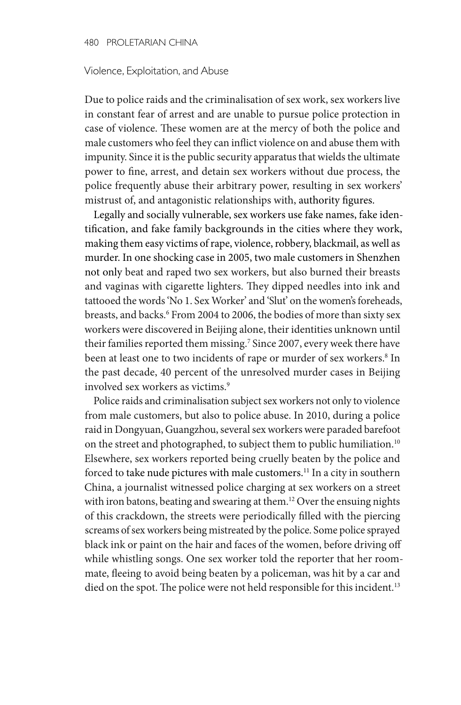#### Violence, Exploitation, and Abuse

Due to police raids and the criminalisation of sex work, sex workers live in constant fear of arrest and are unable to pursue police protection in case of violence. These women are at the mercy of both the police and male customers who feel they can inflict violence on and abuse them with impunity. Since it is the public security apparatus that wields the ultimate power to fine, arrest, and detain sex workers without due process, the police frequently abuse their arbitrary power, resulting in sex workers' mistrust of, and antagonistic relationships with, authority figures.

Legally and socially vulnerable, sex workers use fake names, fake identification, and fake family backgrounds in the cities where they work, making them easy victims of rape, violence, robbery, blackmail, as well as murder. In one shocking case in 2005, two male customers in Shenzhen not only beat and raped two sex workers, but also burned their breasts and vaginas with cigarette lighters. They dipped needles into ink and tattooed the words 'No 1. Sex Worker' and 'Slut' on the women's foreheads, breasts, and backs.<sup>6</sup> From 2004 to 2006, the bodies of more than sixty sex workers were discovered in Beijing alone, their identities unknown until their families reported them missing.7 Since 2007, every week there have been at least one to two incidents of rape or murder of sex workers.<sup>8</sup> In the past decade, 40 percent of the unresolved murder cases in Beijing involved sex workers as victims.<sup>9</sup>

Police raids and criminalisation subject sex workers not only to violence from male customers, but also to police abuse. In 2010, during a police raid in Dongyuan, Guangzhou, several sex workers were paraded barefoot on the street and photographed, to subject them to public humiliation.<sup>10</sup> Elsewhere, sex workers reported being cruelly beaten by the police and forced to take nude pictures with male customers.<sup>11</sup> In a city in southern China, a journalist witnessed police charging at sex workers on a street with iron batons, beating and swearing at them.<sup>12</sup> Over the ensuing nights of this crackdown, the streets were periodically filled with the piercing screams of sex workers being mistreated by the police. Some police sprayed black ink or paint on the hair and faces of the women, before driving off while whistling songs. One sex worker told the reporter that her roommate, fleeing to avoid being beaten by a policeman, was hit by a car and died on the spot. The police were not held responsible for this incident.<sup>13</sup>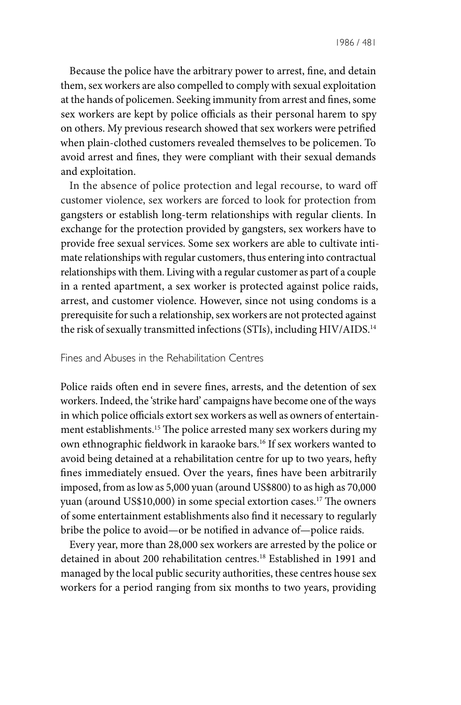Because the police have the arbitrary power to arrest, fine, and detain them, sex workers are also compelled to comply with sexual exploitation at the hands of policemen. Seeking immunity from arrest and fines, some sex workers are kept by police officials as their personal harem to spy on others. My previous research showed that sex workers were petrified when plain-clothed customers revealed themselves to be policemen. To avoid arrest and fines, they were compliant with their sexual demands and exploitation.

In the absence of police protection and legal recourse, to ward off customer violence, sex workers are forced to look for protection from gangsters or establish long-term relationships with regular clients. In exchange for the protection provided by gangsters, sex workers have to provide free sexual services. Some sex workers are able to cultivate intimate relationships with regular customers, thus entering into contractual relationships with them. Living with a regular customer as part of a couple in a rented apartment, a sex worker is protected against police raids, arrest, and customer violence. However, since not using condoms is a prerequisite for such a relationship, sex workers are not protected against the risk of sexually transmitted infections (STIs), including HIV/AIDS.<sup>14</sup>

## Fines and Abuses in the Rehabilitation Centres

Police raids often end in severe fines, arrests, and the detention of sex workers. Indeed, the 'strike hard' campaigns have become one of the ways in which police officials extort sex workers as well as owners of entertainment establishments.15 The police arrested many sex workers during my own ethnographic fieldwork in karaoke bars.<sup>16</sup> If sex workers wanted to avoid being detained at a rehabilitation centre for up to two years, hefty fines immediately ensued. Over the years, fines have been arbitrarily imposed, from as low as 5,000 yuan (around US\$800) to as high as 70,000 yuan (around US\$10,000) in some special extortion cases.17 The owners of some entertainment establishments also find it necessary to regularly bribe the police to avoid—or be notified in advance of—police raids.

Every year, more than 28,000 sex workers are arrested by the police or detained in about 200 rehabilitation centres.18 Established in 1991 and managed by the local public security authorities, these centres house sex workers for a period ranging from six months to two years, providing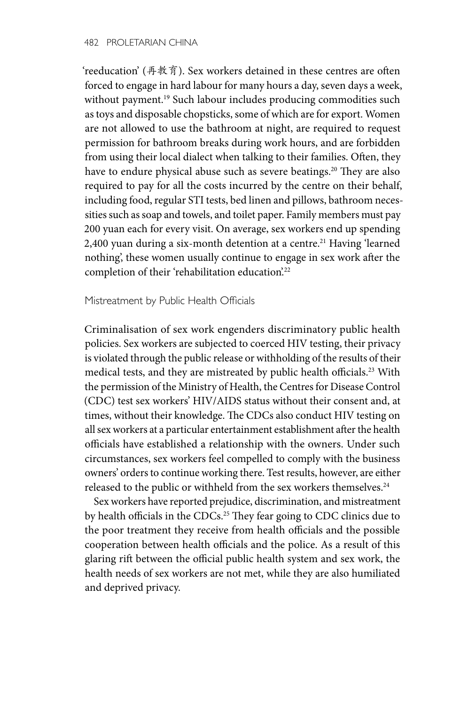'reeducation' (再教育). Sex workers detained in these centres are often forced to engage in hard labour for many hours a day, seven days a week, without payment.<sup>19</sup> Such labour includes producing commodities such as toys and disposable chopsticks, some of which are for export. Women are not allowed to use the bathroom at night, are required to request permission for bathroom breaks during work hours, and are forbidden from using their local dialect when talking to their families. Often, they have to endure physical abuse such as severe beatings.<sup>20</sup> They are also required to pay for all the costs incurred by the centre on their behalf, including food, regular STI tests, bed linen and pillows, bathroom necessities such as soap and towels, and toilet paper. Family members must pay 200 yuan each for every visit. On average, sex workers end up spending 2,400 yuan during a six-month detention at a centre.<sup>21</sup> Having 'learned nothing', these women usually continue to engage in sex work after the completion of their 'rehabilitation education'.<sup>22</sup>

Mistreatment by Public Health Officials

Criminalisation of sex work engenders discriminatory public health policies. Sex workers are subjected to coerced HIV testing, their privacy is violated through the public release or withholding of the results of their medical tests, and they are mistreated by public health officials.<sup>23</sup> With the permission of the Ministry of Health, the Centres for Disease Control (CDC) test sex workers' HIV/AIDS status without their consent and, at times, without their knowledge. The CDCs also conduct HIV testing on all sex workers at a particular entertainment establishment after the health officials have established a relationship with the owners. Under such circumstances, sex workers feel compelled to comply with the business owners' orders to continue working there. Test results, however, are either released to the public or withheld from the sex workers themselves.<sup>24</sup>

Sex workers have reported prejudice, discrimination, and mistreatment by health officials in the CDCs.<sup>25</sup> They fear going to CDC clinics due to the poor treatment they receive from health officials and the possible cooperation between health officials and the police. As a result of this glaring rift between the official public health system and sex work, the health needs of sex workers are not met, while they are also humiliated and deprived privacy.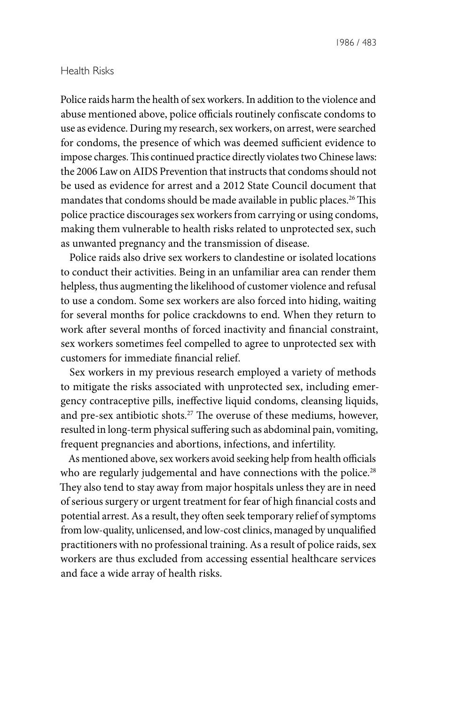#### Health Risks

Police raids harm the health of sex workers. In addition to the violence and abuse mentioned above, police officials routinely confiscate condoms to use as evidence. During my research, sex workers, on arrest, were searched for condoms, the presence of which was deemed sufficient evidence to impose charges. This continued practice directly violates two Chinese laws: the 2006 Law on AIDS Prevention that instructs that condoms should not be used as evidence for arrest and a 2012 State Council document that mandates that condoms should be made available in public places.<sup>26</sup> This police practice discourages sex workers from carrying or using condoms, making them vulnerable to health risks related to unprotected sex, such as unwanted pregnancy and the transmission of disease.

Police raids also drive sex workers to clandestine or isolated locations to conduct their activities. Being in an unfamiliar area can render them helpless, thus augmenting the likelihood of customer violence and refusal to use a condom. Some sex workers are also forced into hiding, waiting for several months for police crackdowns to end. When they return to work after several months of forced inactivity and financial constraint, sex workers sometimes feel compelled to agree to unprotected sex with customers for immediate financial relief.

Sex workers in my previous research employed a variety of methods to mitigate the risks associated with unprotected sex, including emergency contraceptive pills, ineffective liquid condoms, cleansing liquids, and pre-sex antibiotic shots.<sup>27</sup> The overuse of these mediums, however, resulted in long-term physical suffering such as abdominal pain, vomiting, frequent pregnancies and abortions, infections, and infertility.

As mentioned above, sex workers avoid seeking help from health officials who are regularly judgemental and have connections with the police.<sup>28</sup> They also tend to stay away from major hospitals unless they are in need of serious surgery or urgent treatment for fear of high financial costs and potential arrest. As a result, they often seek temporary relief of symptoms from low-quality, unlicensed, and low-cost clinics, managed by unqualified practitioners with no professional training. As a result of police raids, sex workers are thus excluded from accessing essential healthcare services and face a wide array of health risks.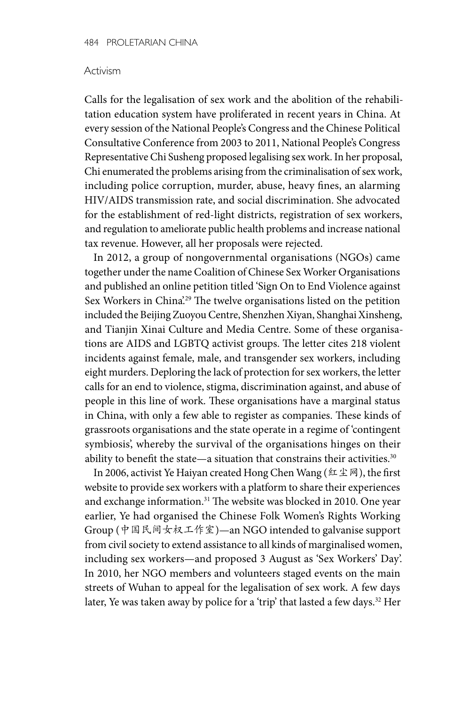### Activism

Calls for the legalisation of sex work and the abolition of the rehabilitation education system have proliferated in recent years in China. At every session of the National People's Congress and the Chinese Political Consultative Conference from 2003 to 2011, National People's Congress Representative Chi Susheng proposed legalising sex work. In her proposal, Chi enumerated the problems arising from the criminalisation of sex work, including police corruption, murder, abuse, heavy fines, an alarming HIV/AIDS transmission rate, and social discrimination. She advocated for the establishment of red-light districts, registration of sex workers, and regulation to ameliorate public health problems and increase national tax revenue. However, all her proposals were rejected.

In 2012, a group of nongovernmental organisations (NGOs) came together under the name Coalition of Chinese Sex Worker Organisations and published an online petition titled 'Sign On to End Violence against Sex Workers in China<sup>'29</sup> The twelve organisations listed on the petition included the Beijing Zuoyou Centre, Shenzhen Xiyan, Shanghai Xinsheng, and Tianjin Xinai Culture and Media Centre. Some of these organisations are AIDS and LGBTQ activist groups. The letter cites 218 violent incidents against female, male, and transgender sex workers, including eight murders. Deploring the lack of protection for sex workers, the letter calls for an end to violence, stigma, discrimination against, and abuse of people in this line of work. These organisations have a marginal status in China, with only a few able to register as companies. These kinds of grassroots organisations and the state operate in a regime of 'contingent symbiosis', whereby the survival of the organisations hinges on their ability to benefit the state—a situation that constrains their activities.<sup>30</sup>

In 2006, activist Ye Haiyan created Hong Chen Wang (红尘网), the first website to provide sex workers with a platform to share their experiences and exchange information.<sup>31</sup> The website was blocked in 2010. One year earlier, Ye had organised the Chinese Folk Women's Rights Working Group (中国民间女权工作室)—an NGO intended to galvanise support from civil society to extend assistance to all kinds of marginalised women, including sex workers—and proposed 3 August as 'Sex Workers' Day'. In 2010, her NGO members and volunteers staged events on the main streets of Wuhan to appeal for the legalisation of sex work. A few days later, Ye was taken away by police for a 'trip' that lasted a few days.<sup>32</sup> Her